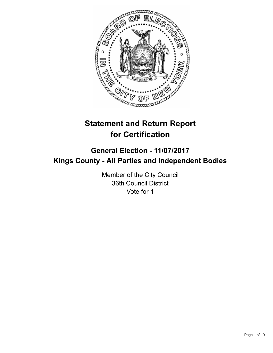

# **Statement and Return Report for Certification**

# **General Election - 11/07/2017 Kings County - All Parties and Independent Bodies**

Member of the City Council 36th Council District Vote for 1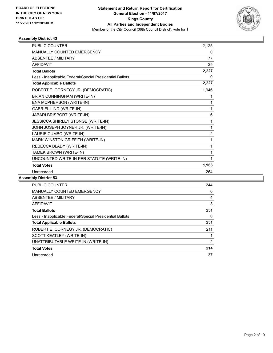

| <b>PUBLIC COUNTER</b>                                    | 2,125          |
|----------------------------------------------------------|----------------|
| MANUALLY COUNTED EMERGENCY                               | 0              |
| <b>ABSENTEE / MILITARY</b>                               | 77             |
| <b>AFFIDAVIT</b>                                         | 25             |
| <b>Total Ballots</b>                                     | 2,227          |
| Less - Inapplicable Federal/Special Presidential Ballots | 0              |
| <b>Total Applicable Ballots</b>                          | 2,227          |
| ROBERT E. CORNEGY JR. (DEMOCRATIC)                       | 1,946          |
| BRIAN CUNNINGHAM (WRITE-IN)                              | 1              |
| ENA MCPHERSON (WRITE-IN)                                 | 1              |
| <b>GABRIEL LIND (WRITE-IN)</b>                           | 1              |
| JABARI BRISPORT (WRITE-IN)                               | 6              |
| JESSICCA SHIRLEY STONGE (WRITE-IN)                       | 1              |
| JOHN JOSEPH JOYNER JR. (WRITE-IN)                        | 1              |
| LAURIE CUMBO (WRITE-IN)                                  | $\overline{2}$ |
| MARK WINSTON GRIFFITH (WRITE-IN)                         | 1              |
| REBECCA BLADY (WRITE-IN)                                 | 1              |
| TAMEK BROWN (WRITE-IN)                                   | 1              |
| UNCOUNTED WRITE-IN PER STATUTE (WRITE-IN)                | 1              |
| <b>Total Votes</b>                                       | 1,963          |
| Unrecorded                                               | 264            |

| <b>PUBLIC COUNTER</b>                                    | 244 |
|----------------------------------------------------------|-----|
| <b>MANUALLY COUNTED EMERGENCY</b>                        | 0   |
| ABSENTEE / MILITARY                                      | 4   |
| AFFIDAVIT                                                | 3   |
| <b>Total Ballots</b>                                     | 251 |
| Less - Inapplicable Federal/Special Presidential Ballots | 0   |
| <b>Total Applicable Ballots</b>                          | 251 |
| ROBERT E. CORNEGY JR. (DEMOCRATIC)                       | 211 |
| SCOTT KEATLEY (WRITE-IN)                                 |     |
| UNATTRIBUTABLE WRITE-IN (WRITE-IN)                       | 2   |
| <b>Total Votes</b>                                       | 214 |
| Unrecorded                                               | 37  |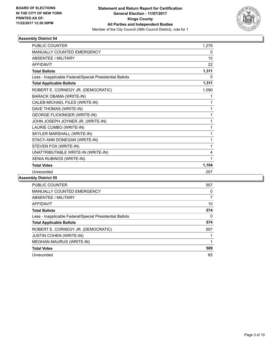

| <b>PUBLIC COUNTER</b>                                    | 1,279 |
|----------------------------------------------------------|-------|
| MANUALLY COUNTED EMERGENCY                               | 0     |
| <b>ABSENTEE / MILITARY</b>                               | 10    |
| <b>AFFIDAVIT</b>                                         | 22    |
| <b>Total Ballots</b>                                     | 1,311 |
| Less - Inapplicable Federal/Special Presidential Ballots | 0     |
| <b>Total Applicable Ballots</b>                          | 1,311 |
| ROBERT E. CORNEGY JR. (DEMOCRATIC)                       | 1,090 |
| <b>BARACK OBAMA (WRITE-IN)</b>                           | 1     |
| CALEB-MICHAEL FILES (WRITE-IN)                           | 1     |
| DAVE THOMAS (WRITE-IN)                                   | 1     |
| <b>GEORGE FLICKINGER (WRITE-IN)</b>                      | 1     |
| JOHN JOSEPH JOYNER JR. (WRITE-IN)                        | 1     |
| LAURIE CUMBO (WRITE-IN)                                  | 1     |
| SKYLER MARSHALL (WRITE-IN)                               | 1     |
| STACY-ANN DONEGAN (WRITE-IN)                             | 1     |
| STEVEN FOX (WRITE-IN)                                    | 1     |
| UNATTRIBUTABLE WRITE-IN (WRITE-IN)                       | 4     |
| XENIA RUBINOS (WRITE-IN)                                 | 1     |
| <b>Total Votes</b>                                       | 1,104 |
| Unrecorded                                               | 207   |

| <b>PUBLIC COUNTER</b>                                    | 557 |
|----------------------------------------------------------|-----|
| <b>MANUALLY COUNTED EMERGENCY</b>                        | 0   |
| ABSENTEE / MILITARY                                      | 7   |
| AFFIDAVIT                                                | 10  |
| <b>Total Ballots</b>                                     | 574 |
| Less - Inapplicable Federal/Special Presidential Ballots | 0   |
| <b>Total Applicable Ballots</b>                          | 574 |
| ROBERT E. CORNEGY JR. (DEMOCRATIC)                       | 507 |
| <b>JUSTIN COHEN (WRITE-IN)</b>                           |     |
| <b>MEGHAN MAURUS (WRITE-IN)</b>                          |     |
| <b>Total Votes</b>                                       | 509 |
| Unrecorded                                               | 65  |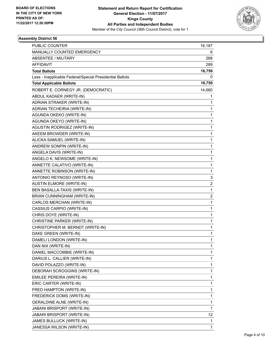

| <b>PUBLIC COUNTER</b>                                    | 16,187                  |
|----------------------------------------------------------|-------------------------|
| MANUALLY COUNTED EMERGENCY                               | 6                       |
| <b>ABSENTEE / MILITARY</b>                               | 268                     |
| <b>AFFIDAVIT</b>                                         | 289                     |
| <b>Total Ballots</b>                                     | 16,750                  |
| Less - Inapplicable Federal/Special Presidential Ballots | 0                       |
| <b>Total Applicable Ballots</b>                          | 16,750                  |
| ROBERT E. CORNEGY JR. (DEMOCRATIC)                       | 14,660                  |
| ABDUL KADAER (WRITE-IN)                                  | 1                       |
| ADRIAN STRAKER (WRITE-IN)                                | 1                       |
| ADRIAN TECHEIRIA (WRITE-IN)                              | 1                       |
| AGUNDA OKEKO (WRITE-IN)                                  | 1                       |
| AGUNDA OKEYO (WRITE-IN)                                  | 1                       |
| AGUSTIN RODRIGEZ (WRITE-IN)                              | 1                       |
| AKEEM BROWDER (WRITE-IN)                                 | 1                       |
| ALICKA SAMUEL (WRITE-IN)                                 | 1                       |
| ANDREW SONPIN (WRITE-IN)                                 | $\mathbf{1}$            |
| ANGELA DAVIS (WRITE-IN)                                  | 1                       |
| ANGELO K. NEWSOME (WRITE-IN)                             | 1                       |
| ANNETTE CALATIVO (WRITE-IN)                              | $\mathbf{1}$            |
| ANNETTE ROBINSON (WRITE-IN)                              | 1                       |
| ANTONIO REYNOSO (WRITE-IN)                               | 3                       |
| <b>AUSTIN ELMORE (WRITE-IN)</b>                          | $\overline{\mathbf{c}}$ |
| BEN BASALLA-TAXIS (WRITE-IN)                             | 1                       |
| BRIAN CUNNINGHAM (WRITE-IN)                              | $\overline{\mathbf{c}}$ |
| CARLOS MERCHAN (WRITE-IN)                                | 1                       |
| CASSIUS CARPIO (WRITE-IN)                                | 1                       |
| CHRIS DOYE (WRITE-IN)                                    | 1                       |
| CHRISTINE PARKER (WRITE-IN)                              | $\mathbf{1}$            |
| CHRISTOPHER M. BERNDT (WRITE-IN)                         | 1                       |
| DAKE GREEN (WRITE-IN)                                    | 1                       |
| DAMELI LONDON (WRITE-IN)                                 | 1                       |
| DAN NIX (WRITE-IN)                                       | 1                       |
| DANIEL MACCOMBIE (WRITE-IN)                              | 1                       |
| DARIUS L. CALLIER (WRITE-IN)                             | 1                       |
| DAVID POLAZZO (WRITE-IN)                                 | 1                       |
| DEBORAH SCROGGINS (WRITE-IN)                             | 1                       |
| EMILEE PEREIRA (WRITE-IN)                                | 1                       |
| ERIC CARTER (WRITE-IN)                                   | 1                       |
| FRED HAMPTON (WRITE-IN)                                  | 1                       |
| FREDERICK DOMS (WRITE-IN)                                | 1                       |
| <b>GERALDINE ALNE (WRITE-IN)</b>                         | 1                       |
| JABANI BRISPORT (WRITE-IN)                               | $\mathbf{1}$            |
| JABARI BRISPORT (WRITE-IN)                               | 12                      |
| JAMES BULLUCK (WRITE-IN)                                 | 1                       |
| JANESSA WILSON (WRITE-IN)                                | 1                       |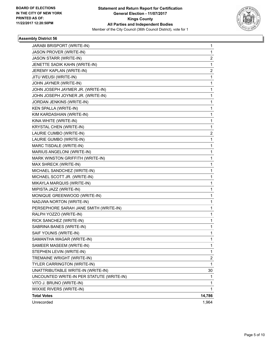

| JARABI BRISPORT (WRITE-IN)                | 1            |
|-------------------------------------------|--------------|
| <b>JASON PROVER (WRITE-IN)</b>            | 1            |
| <b>JASON STARR (WRITE-IN)</b>             | 2            |
| JENETTE SADIK KAHN (WRITE-IN)             | 1            |
| JEREMY KAPLAN (WRITE-IN)                  | 2            |
| JITU WEUSI (WRITE-IN)                     | 1            |
| JOHN JAYNER (WRITE-IN)                    | 1            |
| JOHN JOSEPH JAYMER JR. (WRITE-IN)         | 1            |
| JOHN JOSEPH JOYNER JR. (WRITE-IN)         | 1            |
| JORDAN JENKINS (WRITE-IN)                 | 1            |
| KEN SPALLA (WRITE-IN)                     | 1            |
| KIM KARDASHIAN (WRITE-IN)                 | 1            |
| KINA WHITE (WRITE-IN)                     | 1            |
| KRYSTAL CHEN (WRITE-IN)                   | 1            |
| LAURIE CUMBO (WRITE-IN)                   | 2            |
| LAURIE GUMBO (WRITE-IN)                   | 1            |
| MARC TISDALE (WRITE-IN)                   | 1            |
| MARIUS ANGELONI (WRITE-IN)                | 1            |
| MARK WINSTON GRIFFITH (WRITE-IN)          | 1            |
| MAX SHRECK (WRITE-IN)                     | 1            |
| MICHAEL SANDCHEZ (WRITE-IN)               | 1            |
| MICHAEL SCOTT JR. (WRITE-IN)              | 1            |
| MIKAYLA MARQUIS (WRITE-IN)                | 1            |
| MIPISTA JAZZ (WRITE-IN)                   | 1            |
| MONIQUE GREENWOOD (WRITE-IN)              | 1            |
| NADJWA NORTON (WRITE-IN)                  | 1            |
| PERSEPHORE SARAH JANE SMITH (WRITE-IN)    | 1            |
| RALPH YOZZO (WRITE-IN)                    | 1            |
| RICK SANCHEZ (WRITE-IN)                   | 1            |
| SABRINA BANES (WRITE-IN)                  | 1            |
| SAIF YOUNIS (WRITE-IN)                    | 1            |
| SAMANTHA WAGAR (WRITE-IN)                 | $\mathbf{1}$ |
| SAMEER MASEEM (WRITE-IN)                  | 1            |
| STEPHEN LEVIN (WRITE-IN)                  | 1            |
| TREMAINE WRIGHT (WRITE-IN)                | 2            |
| TYLER CARRINGTON (WRITE-IN)               | 1            |
| UNATTRIBUTABLE WRITE-IN (WRITE-IN)        | 30           |
| UNCOUNTED WRITE-IN PER STATUTE (WRITE-IN) | 1            |
| VITO J. BRUNO (WRITE-IN)                  | 1            |
| WIXXIE RIVERS (WRITE-IN)                  | 1            |
| <b>Total Votes</b>                        | 14,786       |
| Unrecorded                                | 1,964        |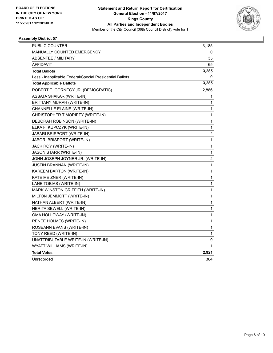

| <b>PUBLIC COUNTER</b>                                    | 3,185        |
|----------------------------------------------------------|--------------|
| <b>MANUALLY COUNTED EMERGENCY</b>                        | 0            |
| <b>ABSENTEE / MILITARY</b>                               | 35           |
| <b>AFFIDAVIT</b>                                         | 65           |
| <b>Total Ballots</b>                                     | 3,285        |
| Less - Inapplicable Federal/Special Presidential Ballots | 0            |
| <b>Total Applicable Ballots</b>                          | 3,285        |
| ROBERT E. CORNEGY JR. (DEMOCRATIC)                       | 2,886        |
| ASSATA SHAKAR (WRITE-IN)                                 | 1            |
| BRITTANY MURPH (WRITE-IN)                                | 1            |
| CHANNELLE ELAINE (WRITE-IN)                              | 1            |
| CHRISTOPHER T MORIETY (WRITE-IN)                         | 1            |
| DEBORAH ROBINSON (WRITE-IN)                              | 1            |
| ELKA F. KUPCZYK (WRITE-IN)                               | 1            |
| JABARI BRISPORT (WRITE-IN)                               | 2            |
| JABORI BRISPORT (WRITE-IN)                               | 1            |
| JACK ROY (WRITE-IN)                                      | 1            |
| <b>JASON STARR (WRITE-IN)</b>                            | 1            |
| JOHN JOSEPH JOYNER JR. (WRITE-IN)                        | 2            |
| <b>JUSTIN BRANNAN (WRITE-IN)</b>                         | 1            |
| KAREEM BARTON (WRITE-IN)                                 | 1            |
| KATE MEIZNER (WRITE-IN)                                  | $\mathbf{1}$ |
| LANE TOBIAS (WRITE-IN)                                   | 1            |
| MARK WINSTON GRIFFITH (WRITE-IN)                         | 1            |
| MILTON JEMMOTT (WRITE-IN)                                | 1            |
| NATHAN ALBERT (WRITE-IN)                                 | 1            |
| NERITA SEWELL (WRITE-IN)                                 | 1            |
| OMA HOLLOWAY (WRITE-IN)                                  | 1            |
| RENEE HOLMES (WRITE-IN)                                  | 1            |
| ROSEANN EVANS (WRITE-IN)                                 | 1            |
| TONY REED (WRITE-IN)                                     | 1            |
| UNATTRIBUTABLE WRITE-IN (WRITE-IN)                       | 9            |
| WYATT WILLIAMS (WRITE-IN)                                | 1            |
| <b>Total Votes</b>                                       | 2,921        |
| Unrecorded                                               | 364          |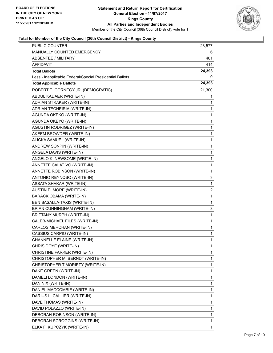

## **Total for Member of the City Council (36th Council District) - Kings County**

| PUBLIC COUNTER                                           | 23,577                  |
|----------------------------------------------------------|-------------------------|
| MANUALLY COUNTED EMERGENCY                               | 6                       |
| <b>ABSENTEE / MILITARY</b>                               | 401                     |
| <b>AFFIDAVIT</b>                                         | 414                     |
| <b>Total Ballots</b>                                     | 24,398                  |
| Less - Inapplicable Federal/Special Presidential Ballots | 0                       |
| <b>Total Applicable Ballots</b>                          | 24,398                  |
| ROBERT E. CORNEGY JR. (DEMOCRATIC)                       | 21,300                  |
| ABDUL KADAER (WRITE-IN)                                  | 1                       |
| ADRIAN STRAKER (WRITE-IN)                                | 1                       |
| ADRIAN TECHEIRIA (WRITE-IN)                              | 1                       |
| AGUNDA OKEKO (WRITE-IN)                                  | 1                       |
| AGUNDA OKEYO (WRITE-IN)                                  | 1                       |
| AGUSTIN RODRIGEZ (WRITE-IN)                              | 1                       |
| AKEEM BROWDER (WRITE-IN)                                 | $\mathbf{1}$            |
| ALICKA SAMUEL (WRITE-IN)                                 | 1                       |
| ANDREW SONPIN (WRITE-IN)                                 | 1                       |
| ANGELA DAVIS (WRITE-IN)                                  | 1                       |
| ANGELO K. NEWSOME (WRITE-IN)                             | 1                       |
| ANNETTE CALATIVO (WRITE-IN)                              | 1                       |
| ANNETTE ROBINSON (WRITE-IN)                              | $\mathbf{1}$            |
| ANTONIO REYNOSO (WRITE-IN)                               | 3                       |
| ASSATA SHAKAR (WRITE-IN)                                 | 1                       |
| <b>AUSTIN ELMORE (WRITE-IN)</b>                          | $\overline{\mathbf{c}}$ |
| <b>BARACK OBAMA (WRITE-IN)</b>                           | 1                       |
| BEN BASALLA-TAXIS (WRITE-IN)                             | 1                       |
| BRIAN CUNNINGHAM (WRITE-IN)                              | 3                       |
| BRITTANY MURPH (WRITE-IN)                                | 1                       |
| CALEB-MICHAEL FILES (WRITE-IN)                           | 1                       |
| CARLOS MERCHAN (WRITE-IN)                                | 1                       |
| CASSIUS CARPIO (WRITE-IN)                                | $\mathbf{1}$            |
| CHANNELLE ELAINE (WRITE-IN)                              | 1                       |
| CHRIS DOYE (WRITE-IN)                                    | 1                       |
| CHRISTINE PARKER (WRITE-IN)                              | 1                       |
| CHRISTOPHER M. BERNDT (WRITE-IN)                         | 1                       |
| CHRISTOPHER T MORIETY (WRITE-IN)                         | 1                       |
| DAKE GREEN (WRITE-IN)                                    | 1                       |
| DAMELI LONDON (WRITE-IN)                                 | 1                       |
| DAN NIX (WRITE-IN)                                       | 1                       |
| DANIEL MACCOMBIE (WRITE-IN)                              | 1                       |
| DARIUS L. CALLIER (WRITE-IN)                             | 1                       |
| DAVE THOMAS (WRITE-IN)                                   | 1                       |
| DAVID POLAZZO (WRITE-IN)                                 | 1                       |
| DEBORAH ROBINSON (WRITE-IN)                              | 1                       |
| DEBORAH SCROGGINS (WRITE-IN)                             | 1                       |
| ELKA F. KUPCZYK (WRITE-IN)                               | 1                       |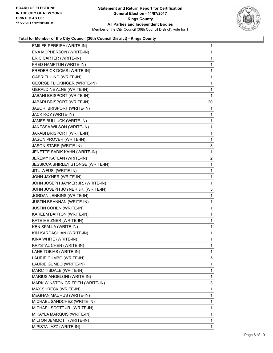

## **Total for Member of the City Council (36th Council District) - Kings County**

| EMILEE PEREIRA (WRITE-IN)           | 1              |
|-------------------------------------|----------------|
| ENA MCPHERSON (WRITE-IN)            | 1              |
| ERIC CARTER (WRITE-IN)              | 1              |
| FRED HAMPTON (WRITE-IN)             | 1              |
| FREDERICK DOMS (WRITE-IN)           | 1              |
| <b>GABRIEL LIND (WRITE-IN)</b>      | 1              |
| <b>GEORGE FLICKINGER (WRITE-IN)</b> | 1              |
| <b>GERALDINE ALNE (WRITE-IN)</b>    | 1              |
| JABANI BRISPORT (WRITE-IN)          | 1              |
| JABARI BRISPORT (WRITE-IN)          | 20             |
| JABORI BRISPORT (WRITE-IN)          | 1              |
| JACK ROY (WRITE-IN)                 | 1              |
| JAMES BULLUCK (WRITE-IN)            | 1              |
| JANESSA WILSON (WRITE-IN)           | 1              |
| JARABI BRISPORT (WRITE-IN)          | 1              |
| <b>JASON PROVER (WRITE-IN)</b>      | 1              |
| JASON STARR (WRITE-IN)              | 3              |
| JENETTE SADIK KAHN (WRITE-IN)       | 1              |
| JEREMY KAPLAN (WRITE-IN)            | $\overline{a}$ |
| JESSICCA SHIRLEY STONGE (WRITE-IN)  | 1              |
| JITU WEUSI (WRITE-IN)               | 1              |
| JOHN JAYNER (WRITE-IN)              | 1              |
| JOHN JOSEPH JAYMER JR. (WRITE-IN)   | 1              |
| JOHN JOSEPH JOYNER JR. (WRITE-IN)   | 5              |
| JORDAN JENKINS (WRITE-IN)           | 1              |
| <b>JUSTIN BRANNAN (WRITE-IN)</b>    | 1              |
| <b>JUSTIN COHEN (WRITE-IN)</b>      | 1              |
| KAREEM BARTON (WRITE-IN)            | 1              |
| KATE MEIZNER (WRITE-IN)             | 1              |
| KEN SPALLA (WRITE-IN)               | 1              |
| KIM KARDASHIAN (WRITE-IN)           | 1              |
| KINA WHITE (WRITE-IN)               | 1              |
| KRYSTAL CHEN (WRITE-IN)             | 1              |
| LANE TOBIAS (WRITE-IN)              | 1              |
| LAURIE CUMBO (WRITE-IN)             | 5              |
| LAURIE GUMBO (WRITE-IN)             | 1              |
| MARC TISDALE (WRITE-IN)             | 1              |
| MARIUS ANGELONI (WRITE-IN)          | 1              |
| MARK WINSTON GRIFFITH (WRITE-IN)    | 3              |
| MAX SHRECK (WRITE-IN)               | 1              |
| <b>MEGHAN MAURUS (WRITE-IN)</b>     | 1              |
| MICHAEL SANDCHEZ (WRITE-IN)         | 1              |
| MICHAEL SCOTT JR. (WRITE-IN)        | 1              |
| MIKAYLA MARQUIS (WRITE-IN)          | 1              |
| MILTON JEMMOTT (WRITE-IN)           | 1              |
| MIPISTA JAZZ (WRITE-IN)             | 1              |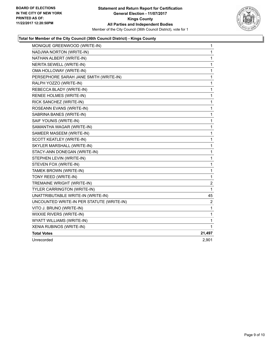

## **Total for Member of the City Council (36th Council District) - Kings County**

| MONIQUE GREENWOOD (WRITE-IN)              | 1            |
|-------------------------------------------|--------------|
| NADJWA NORTON (WRITE-IN)                  | 1            |
| NATHAN ALBERT (WRITE-IN)                  | 1            |
| NERITA SEWELL (WRITE-IN)                  | 1            |
| OMA HOLLOWAY (WRITE-IN)                   | 1            |
| PERSEPHORE SARAH JANE SMITH (WRITE-IN)    | 1            |
| RALPH YOZZO (WRITE-IN)                    | 1            |
| REBECCA BLADY (WRITE-IN)                  | 1            |
| RENEE HOLMES (WRITE-IN)                   | 1            |
| RICK SANCHEZ (WRITE-IN)                   | 1            |
| ROSEANN EVANS (WRITE-IN)                  | 1            |
| SABRINA BANES (WRITE-IN)                  | $\mathbf{1}$ |
| SAIF YOUNIS (WRITE-IN)                    | $\mathbf 1$  |
| SAMANTHA WAGAR (WRITE-IN)                 | $\mathbf 1$  |
| SAMEER MASEEM (WRITE-IN)                  | 1            |
| SCOTT KEATLEY (WRITE-IN)                  | $\mathbf{1}$ |
| SKYLER MARSHALL (WRITE-IN)                | 1            |
| STACY-ANN DONEGAN (WRITE-IN)              | 1            |
| STEPHEN LEVIN (WRITE-IN)                  | 1            |
| STEVEN FOX (WRITE-IN)                     | 1            |
| TAMEK BROWN (WRITE-IN)                    | 1            |
| TONY REED (WRITE-IN)                      | 1            |
| TREMAINE WRIGHT (WRITE-IN)                | 2            |
| TYLER CARRINGTON (WRITE-IN)               | $\mathbf{1}$ |
| UNATTRIBUTABLE WRITE-IN (WRITE-IN)        | 45           |
| UNCOUNTED WRITE-IN PER STATUTE (WRITE-IN) | 2            |
| VITO J. BRUNO (WRITE-IN)                  | 1            |
| WIXXIE RIVERS (WRITE-IN)                  | $\mathbf{1}$ |
| WYATT WILLIAMS (WRITE-IN)                 | $\mathbf{1}$ |
| XENIA RUBINOS (WRITE-IN)                  | 1            |
| <b>Total Votes</b>                        | 21,497       |
| Unrecorded                                | 2.901        |